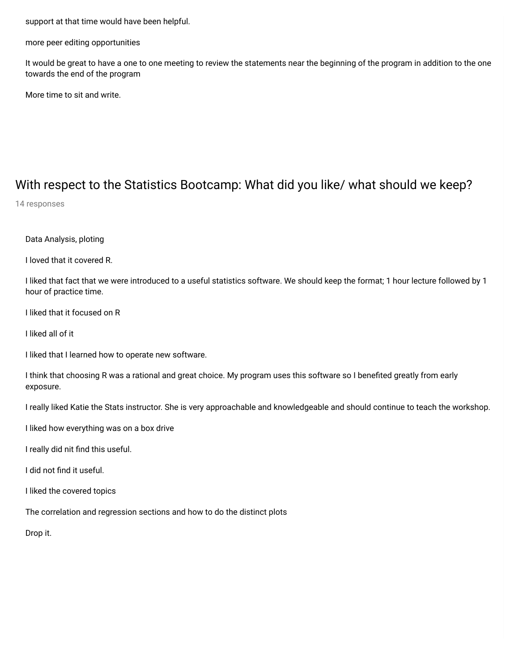support at that time would have been helpful.

more peer editing opportunities

It would be great to have a one to one meeting to review the statements near the beginning of the program in addition to the one towards the end of the program

More time to sit and write.

## With respect to the Statistics Bootcamp: What did you like/ what should we keep?

14 responses

Data Analysis, ploting

I loved that it covered R.

I liked that fact that we were introduced to a useful statistics software. We should keep the format; 1 hour lecture followed by 1 hour of practice time.

I liked that it focused on R

I liked all of it

I liked that I learned how to operate new software.

I think that choosing R was a rational and great choice. My program uses this software so I benefited greatly from early exposure.

I really liked Katie the Stats instructor. She is very approachable and knowledgeable and should continue to teach the workshop.

I liked how everything was on a box drive

I really did nit find this useful.

I did not find it useful.

I liked the covered topics

The correlation and regression sections and how to do the distinct plots

Drop it.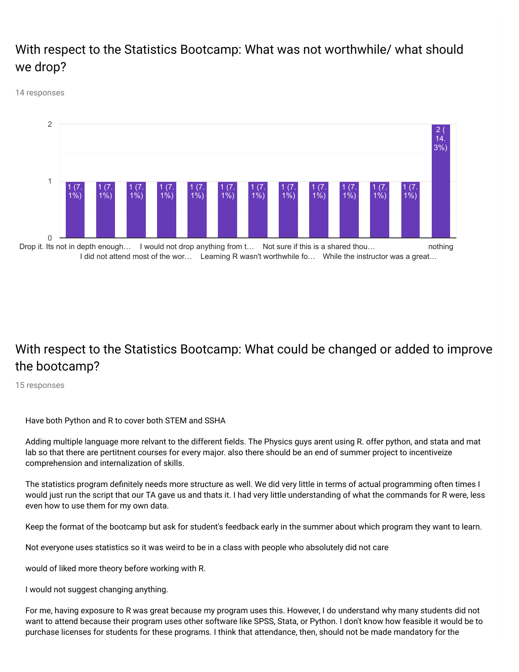## With respect to the Statistics Bootcamp: What was not worthwhile/ what should we drop?

14 responses



## With respect to the Statistics Bootcamp: What could be changed or added to improve the bootcamp?

15 responses

Have both Python and R to cover both STEM and SSHA

Adding multiple language more relvant to the different fields. The Physics guys arent using R. offer python, and stata and mat lab so that there are pertitnent courses for every major. also there should be an end of summer project to incentiveize comprehension and internalization of skills.

The statistics program definitely needs more structure as well. We did very little in terms of actual programming often times I would just run the script that our TA gave us and thats it. I had very little understanding of what the commands for R were, less even how to use them for my own data.

Keep the format of the bootcamp but ask for student's feedback early in the summer about which program they want to learn.

Not everyone uses statistics so it was weird to be in a class with people who absolutely did not care

would of liked more theory before working with R.

I would not suggest changing anything.

For me, having exposure to R was great because my program uses this. However, I do understand why many students did not want to attend because their program uses other software like SPSS, Stata, or Python. I don't know how feasible it would be to purchase licenses for students for these programs. I think that attendance, then, should not be made mandatory for the